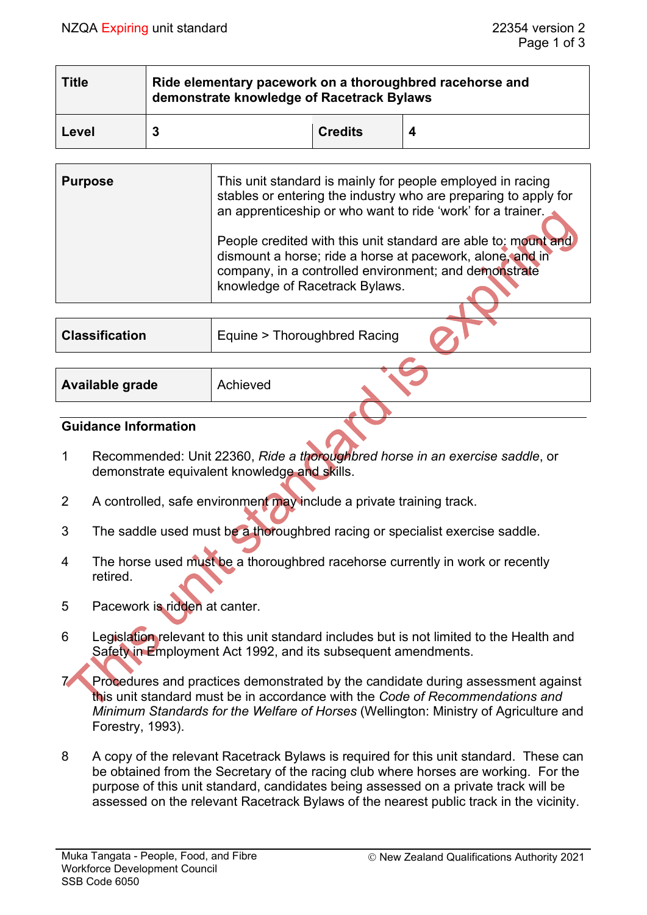| <b>Title</b> | Ride elementary pacework on a thoroughbred racehorse and<br>demonstrate knowledge of Racetrack Bylaws |                |  |  |
|--------------|-------------------------------------------------------------------------------------------------------|----------------|--|--|
| Level        | 3                                                                                                     | <b>Credits</b> |  |  |

| <b>Purpose</b> | This unit standard is mainly for people employed in racing<br>stables or entering the industry who are preparing to apply for<br>an apprenticeship or who want to ride 'work' for a trainer.                           |  |
|----------------|------------------------------------------------------------------------------------------------------------------------------------------------------------------------------------------------------------------------|--|
|                | People credited with this unit standard are able to: mount and<br>dismount a horse; ride a horse at pacework, alone, and in<br>company, in a controlled environment; and demonstrate<br>knowledge of Racetrack Bylaws. |  |
|                |                                                                                                                                                                                                                        |  |

| <b>Classification</b> | <b>Equine &gt; Thoroughbred Racing</b> |
|-----------------------|----------------------------------------|
|                       |                                        |

| <b>Available grade</b> | Achieved |
|------------------------|----------|
|------------------------|----------|

#### **Guidance Information**

- 1 Recommended: Unit 22360, *Ride a thoroughbred horse in an exercise saddle*, or demonstrate equivalent knowledge and skills.
- 2 A controlled, safe environment may include a private training track.
- 3 The saddle used must be a thoroughbred racing or specialist exercise saddle.
- 4 The horse used must be a thoroughbred racehorse currently in work or recently retired.
- 5 Pacework is ridden at canter.
- 6 Legislation relevant to this unit standard includes but is not limited to the Health and Safety in Employment Act 1992, and its subsequent amendments.
- 7 Procedures and practices demonstrated by the candidate during assessment against this unit standard must be in accordance with the *Code of Recommendations and Minimum Standards for the Welfare of Horses* (Wellington: Ministry of Agriculture and Forestry, 1993).
- 8 A copy of the relevant Racetrack Bylaws is required for this unit standard. These can be obtained from the Secretary of the racing club where horses are working. For the purpose of this unit standard, candidates being assessed on a private track will be assessed on the relevant Racetrack Bylaws of the nearest public track in the vicinity.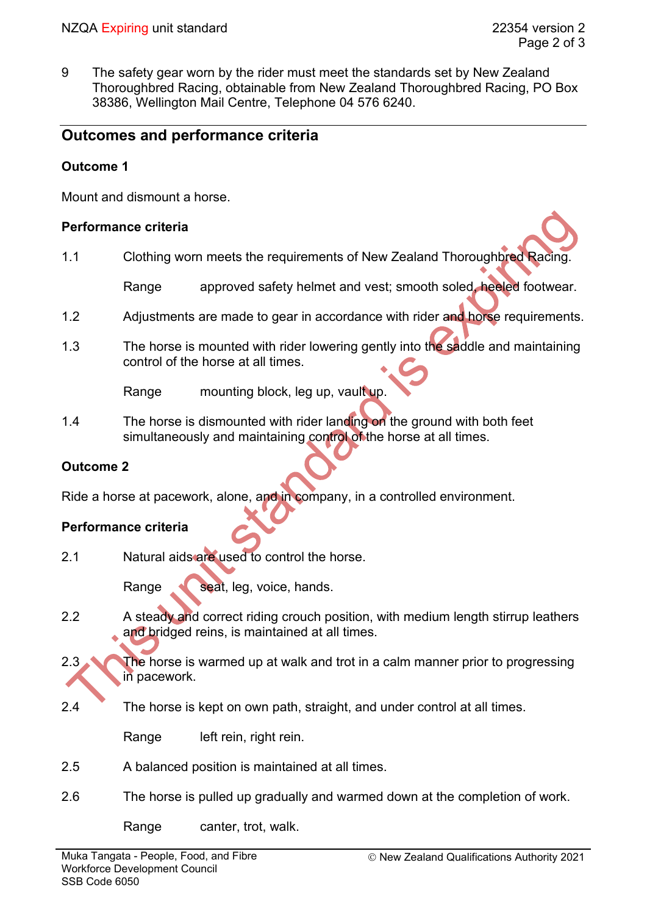9 The safety gear worn by the rider must meet the standards set by New Zealand Thoroughbred Racing, obtainable from New Zealand Thoroughbred Racing, PO Box 38386, Wellington Mail Centre, Telephone 04 576 6240.

## **Outcomes and performance criteria**

#### **Outcome 1**

Mount and dismount a horse.

#### **Performance criteria**

1.1 Clothing worn meets the requirements of New Zealand Thoroughbred Racing.

Range approved safety helmet and vest; smooth soled, heeled footwear.

- 1.2 Adjustments are made to gear in accordance with rider and horse requirements.
- 1.3 The horse is mounted with rider lowering gently into the saddle and maintaining control of the horse at all times.

Range mounting block, leg up, vault up.

1.4 The horse is dismounted with rider landing on the ground with both feet simultaneously and maintaining control of the horse at all times.

### **Outcome 2**

Ride a horse at pacework, alone, and in company, in a controlled environment.

### **Performance criteria**

2.1 Natural aids are used to control the horse.

Range seat, leg, voice, hands.

- 2.2 A steady and correct riding crouch position, with medium length stirrup leathers and bridged reins, is maintained at all times.
- 2.3 The horse is warmed up at walk and trot in a calm manner prior to progressing in pacework.
- 2.4 The horse is kept on own path, straight, and under control at all times.

Range left rein, right rein.

- 2.5 A balanced position is maintained at all times.
- 2.6 The horse is pulled up gradually and warmed down at the completion of work.

Range canter, trot, walk.